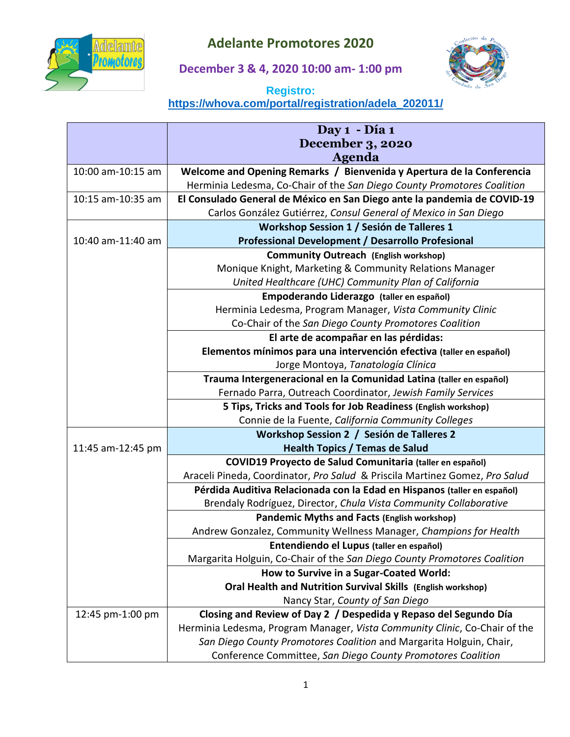

## **Adelante Promotores 2020**

**December 3 & 4, 2020 10:00 am- 1:00 pm**



## **Registro: [https://whova.com/portal/registration/adela\\_202011/](https://whova.com/portal/registration/adela_202011/)**

|                   | Day 1 - Día 1                                                               |
|-------------------|-----------------------------------------------------------------------------|
|                   | <b>December 3, 2020</b>                                                     |
|                   | <b>Agenda</b>                                                               |
| 10:00 am-10:15 am | Welcome and Opening Remarks / Bienvenida y Apertura de la Conferencia       |
|                   | Herminia Ledesma, Co-Chair of the San Diego County Promotores Coalition     |
| 10:15 am-10:35 am | El Consulado General de México en San Diego ante la pandemia de COVID-19    |
|                   | Carlos González Gutiérrez, Consul General of Mexico in San Diego            |
|                   | Workshop Session 1 / Sesión de Talleres 1                                   |
| 10:40 am-11:40 am | <b>Professional Development / Desarrollo Profesional</b>                    |
|                   | <b>Community Outreach (English workshop)</b>                                |
|                   | Monique Knight, Marketing & Community Relations Manager                     |
|                   | United Healthcare (UHC) Community Plan of California                        |
|                   | Empoderando Liderazgo (taller en español)                                   |
|                   | Herminia Ledesma, Program Manager, Vista Community Clinic                   |
|                   | Co-Chair of the San Diego County Promotores Coalition                       |
|                   | El arte de acompañar en las pérdidas:                                       |
|                   | Elementos mínimos para una intervención efectiva (taller en español)        |
|                   | Jorge Montoya, Tanatología Clínica                                          |
|                   | Trauma Intergeneracional en la Comunidad Latina (taller en español)         |
|                   | Fernado Parra, Outreach Coordinator, Jewish Family Services                 |
|                   | 5 Tips, Tricks and Tools for Job Readiness (English workshop)               |
|                   | Connie de la Fuente, California Community Colleges                          |
|                   | Workshop Session 2 / Sesión de Talleres 2                                   |
| 11:45 am-12:45 pm | <b>Health Topics / Temas de Salud</b>                                       |
|                   | COVID19 Proyecto de Salud Comunitaria (taller en español)                   |
|                   | Araceli Pineda, Coordinator, Pro Salud & Priscila Martinez Gomez, Pro Salud |
|                   | Pérdida Auditiva Relacionada con la Edad en Hispanos (taller en español)    |
|                   | Brendaly Rodríguez, Director, Chula Vista Community Collaborative           |
|                   | <b>Pandemic Myths and Facts (English workshop)</b>                          |
|                   | Andrew Gonzalez, Community Wellness Manager, Champions for Health           |
|                   | Entendiendo el Lupus (taller en español)                                    |
|                   | Margarita Holguin, Co-Chair of the San Diego County Promotores Coalition    |
|                   | How to Survive in a Sugar-Coated World:                                     |
|                   | Oral Health and Nutrition Survival Skills (English workshop)                |
|                   | Nancy Star, County of San Diego                                             |
| 12:45 pm-1:00 pm  | Closing and Review of Day 2 / Despedida y Repaso del Segundo Día            |
|                   | Herminia Ledesma, Program Manager, Vista Community Clinic, Co-Chair of the  |
|                   | San Diego County Promotores Coalition and Margarita Holguin, Chair,         |
|                   | Conference Committee, San Diego County Promotores Coalition                 |